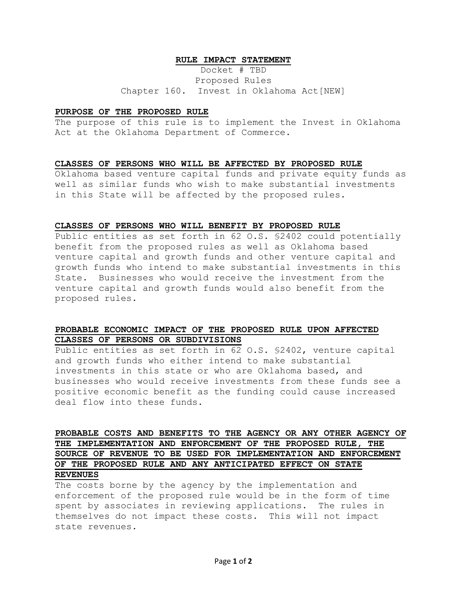#### **RULE IMPACT STATEMENT**

Docket # TBD Proposed Rules Chapter 160. Invest in Oklahoma Act[NEW]

#### **PURPOSE OF THE PROPOSED RULE**

The purpose of this rule is to implement the Invest in Oklahoma Act at the Oklahoma Department of Commerce.

### **CLASSES OF PERSONS WHO WILL BE AFFECTED BY PROPOSED RULE**

Oklahoma based venture capital funds and private equity funds as well as similar funds who wish to make substantial investments in this State will be affected by the proposed rules.

#### **CLASSES OF PERSONS WHO WILL BENEFIT BY PROPOSED RULE**

Public entities as set forth in 62 O.S. §2402 could potentially benefit from the proposed rules as well as Oklahoma based venture capital and growth funds and other venture capital and growth funds who intend to make substantial investments in this State. Businesses who would receive the investment from the venture capital and growth funds would also benefit from the proposed rules.

## **PROBABLE ECONOMIC IMPACT OF THE PROPOSED RULE UPON AFFECTED CLASSES OF PERSONS OR SUBDIVISIONS**

Public entities as set forth in 62 O.S. §2402, venture capital and growth funds who either intend to make substantial investments in this state or who are Oklahoma based, and businesses who would receive investments from these funds see a positive economic benefit as the funding could cause increased deal flow into these funds.

# **PROBABLE COSTS AND BENEFITS TO THE AGENCY OR ANY OTHER AGENCY OF THE IMPLEMENTATION AND ENFORCEMENT OF THE PROPOSED RULE, THE SOURCE OF REVENUE TO BE USED FOR IMPLEMENTATION AND ENFORCEMENT OF THE PROPOSED RULE AND ANY ANTICIPATED EFFECT ON STATE REVENUES**

The costs borne by the agency by the implementation and enforcement of the proposed rule would be in the form of time spent by associates in reviewing applications. The rules in themselves do not impact these costs. This will not impact state revenues.